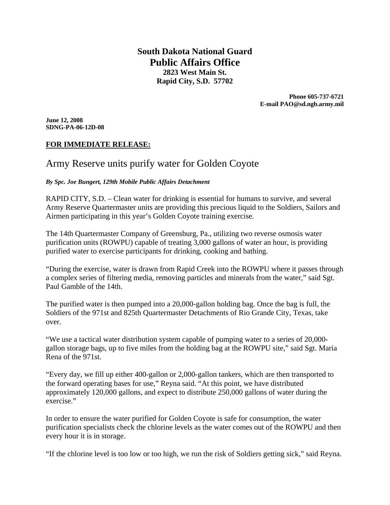**South Dakota National Guard Public Affairs Office 2823 West Main St. Rapid City, S.D. 57702** 

> **Phone 605-737-6721 E-mail PAO@sd.ngb.army.mil**

**June 12, 2008 SDNG-PA-06-12D-08** 

# **FOR IMMEDIATE RELEASE:**

# Army Reserve units purify water for Golden Coyote

#### *By Spc. Joe Bungert, 129th Mobile Public Affairs Detachment*

RAPID CITY, S.D. – Clean water for drinking is essential for humans to survive, and several Army Reserve Quartermaster units are providing this precious liquid to the Soldiers, Sailors and Airmen participating in this year's Golden Coyote training exercise.

The 14th Quartermaster Company of Greensburg, Pa., utilizing two reverse osmosis water purification units (ROWPU) capable of treating 3,000 gallons of water an hour, is providing purified water to exercise participants for drinking, cooking and bathing.

"During the exercise, water is drawn from Rapid Creek into the ROWPU where it passes through a complex series of filtering media, removing particles and minerals from the water," said Sgt. Paul Gamble of the 14th.

The purified water is then pumped into a 20,000-gallon holding bag. Once the bag is full, the Soldiers of the 971st and 825th Quartermaster Detachments of Rio Grande City, Texas, take over.

"We use a tactical water distribution system capable of pumping water to a series of 20,000 gallon storage bags, up to five miles from the holding bag at the ROWPU site," said Sgt. Maria Rena of the 971st.

"Every day, we fill up either 400-gallon or 2,000-gallon tankers, which are then transported to the forward operating bases for use," Reyna said. "At this point, we have distributed approximately 120,000 gallons, and expect to distribute 250,000 gallons of water during the exercise."

In order to ensure the water purified for Golden Coyote is safe for consumption, the water purification specialists check the chlorine levels as the water comes out of the ROWPU and then every hour it is in storage.

"If the chlorine level is too low or too high, we run the risk of Soldiers getting sick," said Reyna.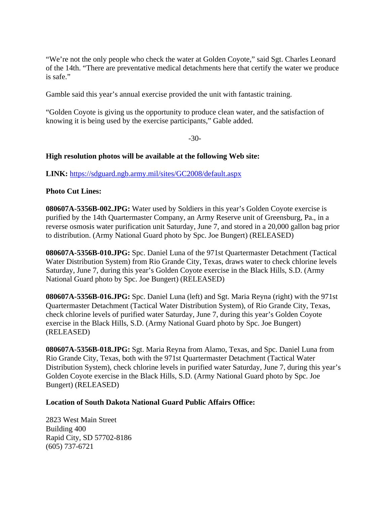"We're not the only people who check the water at Golden Coyote," said Sgt. Charles Leonard of the 14th. "There are preventative medical detachments here that certify the water we produce is safe."

Gamble said this year's annual exercise provided the unit with fantastic training.

"Golden Coyote is giving us the opportunity to produce clean water, and the satisfaction of knowing it is being used by the exercise participants," Gable added.

-30-

### **High resolution photos will be available at the following Web site:**

**LINK:** https://sdguard.ngb.army.mil/sites/GC2008/default.aspx

### **Photo Cut Lines:**

**080607A-5356B-002.JPG:** Water used by Soldiers in this year's Golden Coyote exercise is purified by the 14th Quartermaster Company, an Army Reserve unit of Greensburg, Pa., in a reverse osmosis water purification unit Saturday, June 7, and stored in a 20,000 gallon bag prior to distribution. (Army National Guard photo by Spc. Joe Bungert) (RELEASED)

**080607A-5356B-010.JPG:** Spc. Daniel Luna of the 971st Quartermaster Detachment (Tactical Water Distribution System) from Rio Grande City, Texas, draws water to check chlorine levels Saturday, June 7, during this year's Golden Coyote exercise in the Black Hills, S.D. (Army National Guard photo by Spc. Joe Bungert) (RELEASED)

**080607A-5356B-016.JPG:** Spc. Daniel Luna (left) and Sgt. Maria Reyna (right) with the 971st Quartermaster Detachment (Tactical Water Distribution System), of Rio Grande City, Texas, check chlorine levels of purified water Saturday, June 7, during this year's Golden Coyote exercise in the Black Hills, S.D. (Army National Guard photo by Spc. Joe Bungert) (RELEASED)

**080607A-5356B-018.JPG:** Sgt. Maria Reyna from Alamo, Texas, and Spc. Daniel Luna from Rio Grande City, Texas, both with the 971st Quartermaster Detachment (Tactical Water Distribution System), check chlorine levels in purified water Saturday, June 7, during this year's Golden Coyote exercise in the Black Hills, S.D. (Army National Guard photo by Spc. Joe Bungert) (RELEASED)

#### **Location of South Dakota National Guard Public Affairs Office:**

2823 West Main Street Building 400 Rapid City, SD 57702-8186 (605) 737-6721